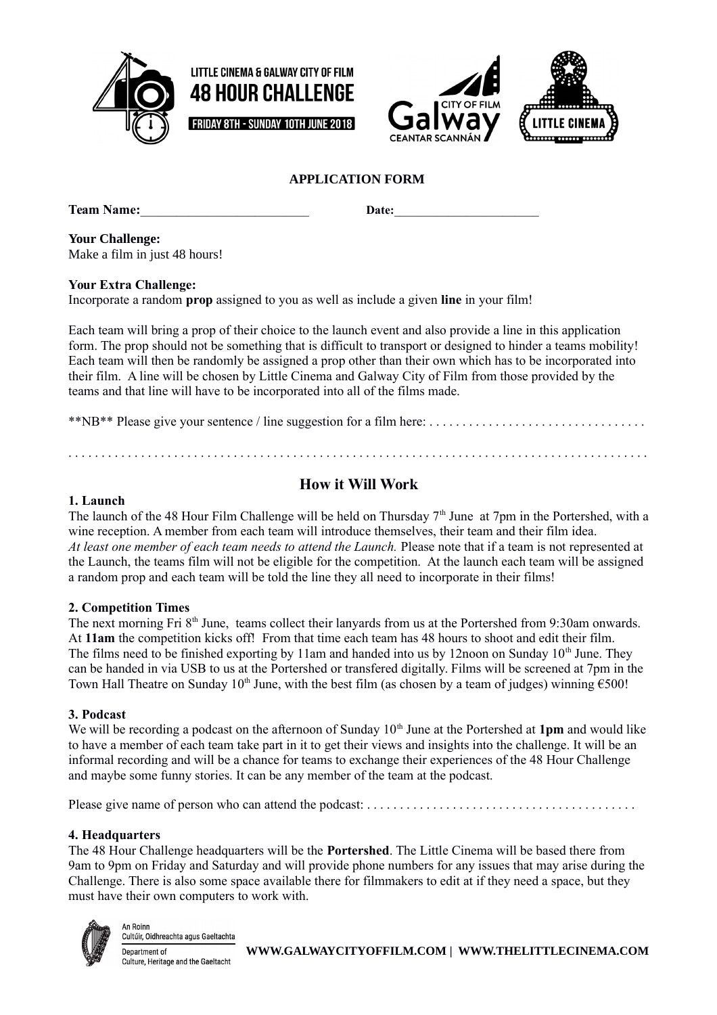







## **APPLICATION FORM**

**Team Name: Date:** 

**Your Challenge:** 

Make a film in just 48 hours!

**Your Extra Challenge:**

Incorporate a random **prop** assigned to you as well as include a given **line** in your film!

Each team will bring a prop of their choice to the launch event and also provide a line in this application form. The prop should not be something that is difficult to transport or designed to hinder a teams mobility! Each team will then be randomly be assigned a prop other than their own which has to be incorporated into their film. A line will be chosen by Little Cinema and Galway City of Film from those provided by the teams and that line will have to be incorporated into all of the films made.

\*\*NB\*\* Please give your sentence / line suggestion for a film here: . . . . . . . . . . . . . . . . . . . . . . . . . . . . . . . . .

. . . . . . . . . . . . . . . . . . . . . . . . . . . . . . . . . . . . . . . . . . . . . . . . . . . . . . . . . . . . . . . . . . . . . . . . . . . . . . . . . . . . . . . .

## **How it Will Work**

#### **1. Launch**

The launch of the 48 Hour Film Challenge will be held on Thursday 7<sup>th</sup> June at 7pm in the Portershed, with a wine reception. A member from each team will introduce themselves, their team and their film idea. *At least one member of each team needs to attend the Launch.* Please note that if a team is not represented at the Launch, the teams film will not be eligible for the competition. At the launch each team will be assigned a random prop and each team will be told the line they all need to incorporate in their films!

#### **2. Competition Times**

The next morning Fri 8<sup>th</sup> June, teams collect their lanyards from us at the Portershed from 9:30am onwards. At **11am** the competition kicks off! From that time each team has 48 hours to shoot and edit their film. The films need to be finished exporting by 11am and handed into us by 12noon on Sunday  $10<sup>th</sup>$  June. They can be handed in via USB to us at the Portershed or transfered digitally. Films will be screened at 7pm in the Town Hall Theatre on Sunday 10<sup>th</sup> June, with the best film (as chosen by a team of judges) winning  $\epsilon$ 500!

#### **3. Podcast**

We will be recording a podcast on the afternoon of Sunday 10<sup>th</sup> June at the Portershed at 1pm and would like to have a member of each team take part in it to get their views and insights into the challenge. It will be an informal recording and will be a chance for teams to exchange their experiences of the 48 Hour Challenge and maybe some funny stories. It can be any member of the team at the podcast.

Please give name of person who can attend the podcast: . . . . . . . . . . . . . . . . . . . . . . . . . . . . . . . . . . . . . . . . .

## **4. Headquarters**

The 48 Hour Challenge headquarters will be the **Portershed**. The Little Cinema will be based there from 9am to 9pm on Friday and Saturday and will provide phone numbers for any issues that may arise during the Challenge. There is also some space available there for filmmakers to edit at if they need a space, but they must have their own computers to work with.



An Roinr Cultúir, Oidhreachta agus Gaeltachta Department of Culture, Heritage and the Gaeltacht

**WWW.GALWAYCITYOFFILM.COM | WWW.THELITTLECINEMA.COM**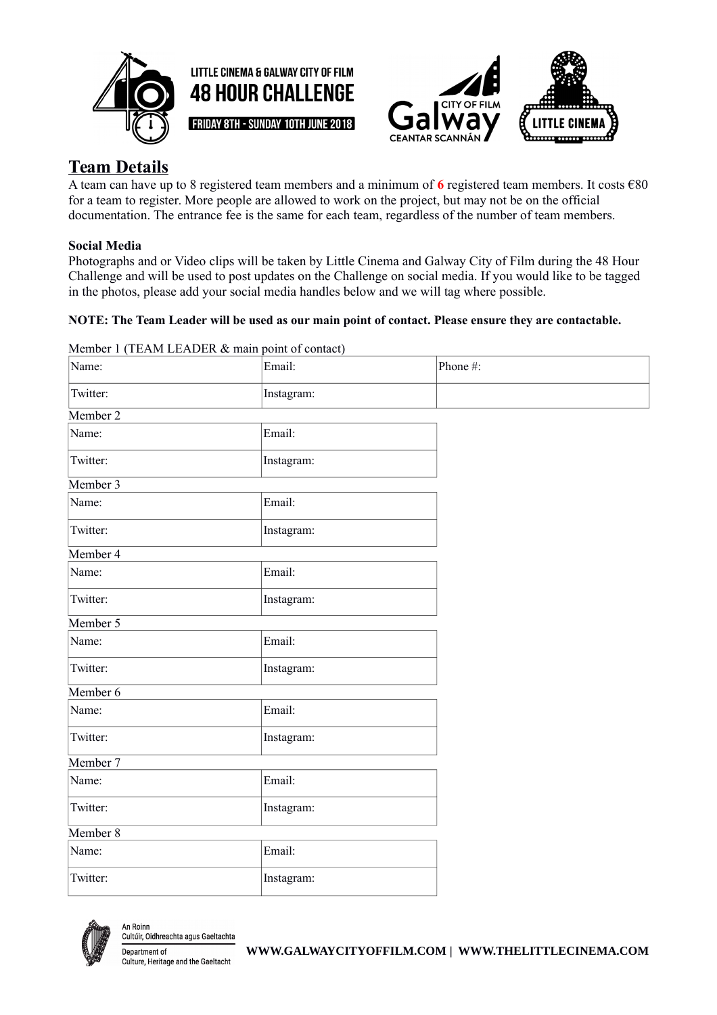





# **Team Details**

A team can have up to 8 registered team members and a minimum of **6** registered team members. It costs €80 for a team to register. More people are allowed to work on the project, but may not be on the official documentation. The entrance fee is the same for each team, regardless of the number of team members.

## **Social Media**

Photographs and or Video clips will be taken by Little Cinema and Galway City of Film during the 48 Hour Challenge and will be used to post updates on the Challenge on social media. If you would like to be tagged in the photos, please add your social media handles below and we will tag where possible.

## **NOTE: The Team Leader will be used as our main point of contact. Please ensure they are contactable.**

| Name:    | Email:     | Phone#: |
|----------|------------|---------|
| Twitter: | Instagram: |         |
| Member 2 |            |         |
| Name:    | Email:     |         |
| Twitter: | Instagram: |         |
| Member 3 |            |         |
| Name:    | Email:     |         |
| Twitter: | Instagram: |         |
| Member 4 |            |         |
| Name:    | Email:     |         |
| Twitter: | Instagram: |         |
| Member 5 |            |         |
| Name:    | Email:     |         |
| Twitter: | Instagram: |         |
| Member 6 |            |         |
| Name:    | Email:     |         |
| Twitter: | Instagram: |         |
| Member 7 |            |         |
| Name:    | Email:     |         |
| Twitter: | Instagram: |         |
| Member 8 |            |         |
| Name:    | Email:     |         |
| Twitter: | Instagram: |         |
|          |            |         |

Member 1 (TEAM LEADER & main point of contact)



An Roinn Cultúir, Oidhreachta agus Gaeltachta Department of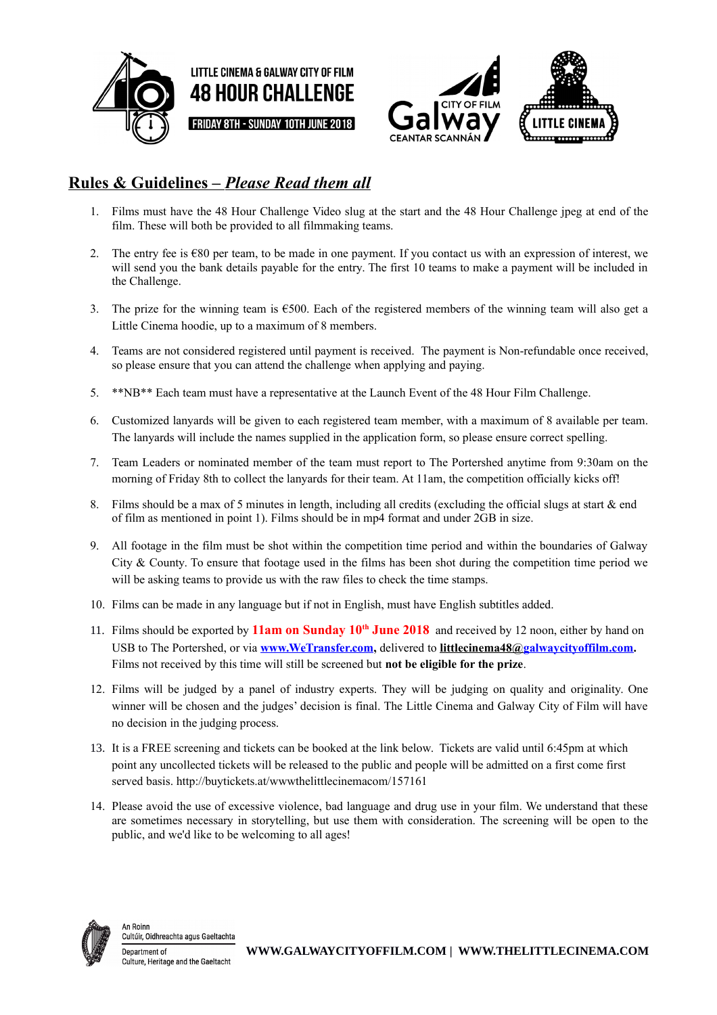





# **Rules & Guidelines –** *Please Read them all*

- 1. Films must have the 48 Hour Challenge Video slug at the start and the 48 Hour Challenge jpeg at end of the film. These will both be provided to all filmmaking teams.
- 2. The entry fee is  $\epsilon$ 80 per team, to be made in one payment. If you contact us with an expression of interest, we will send you the bank details payable for the entry. The first 10 teams to make a payment will be included in the Challenge.
- 3. The prize for the winning team is  $\epsilon$ 500. Each of the registered members of the winning team will also get a Little Cinema hoodie, up to a maximum of 8 members.
- 4. Teams are not considered registered until payment is received. The payment is Non-refundable once received, so please ensure that you can attend the challenge when applying and paying.
- 5. \*\*NB\*\* Each team must have a representative at the Launch Event of the 48 Hour Film Challenge.
- 6. Customized lanyards will be given to each registered team member, with a maximum of 8 available per team. The lanyards will include the names supplied in the application form, so please ensure correct spelling.
- 7. Team Leaders or nominated member of the team must report to The Portershed anytime from 9:30am on the morning of Friday 8th to collect the lanyards for their team. At 11am, the competition officially kicks off!
- 8. Films should be a max of 5 minutes in length, including all credits (excluding the official slugs at start & end of film as mentioned in point 1). Films should be in mp4 format and under 2GB in size.
- 9. All footage in the film must be shot within the competition time period and within the boundaries of Galway City & County. To ensure that footage used in the films has been shot during the competition time period we will be asking teams to provide us with the raw files to check the time stamps.
- 10. Films can be made in any language but if not in English, must have English subtitles added.
- 11. Films should be exported by **11am on Sunday 10th June 2018** and received by 12 noon, either by hand on USB to The Portershed, or via **[www.WeTransfer.com,](http://www.WeTransfer.com/)** delivered to **[littlecinema48@galwaycityoffilm.com.](mailto:littlecinema48@galwaycityoffilm.com)** Films not received by this time will still be screened but **not be eligible for the prize**.
- 12. Films will be judged by a panel of industry experts. They will be judging on quality and originality. One winner will be chosen and the judges' decision is final. The Little Cinema and Galway City of Film will have no decision in the judging process.
- 13. It is a FREE screening and tickets can be booked at the link below. Tickets are valid until 6:45pm at which point any uncollected tickets will be released to the public and people will be admitted on a first come first served basis. http://buytickets.at/wwwthelittlecinemacom/157161
- 14. Please avoid the use of excessive violence, bad language and drug use in your film. We understand that these are sometimes necessary in storytelling, but use them with consideration. The screening will be open to the public, and we'd like to be welcoming to all ages!